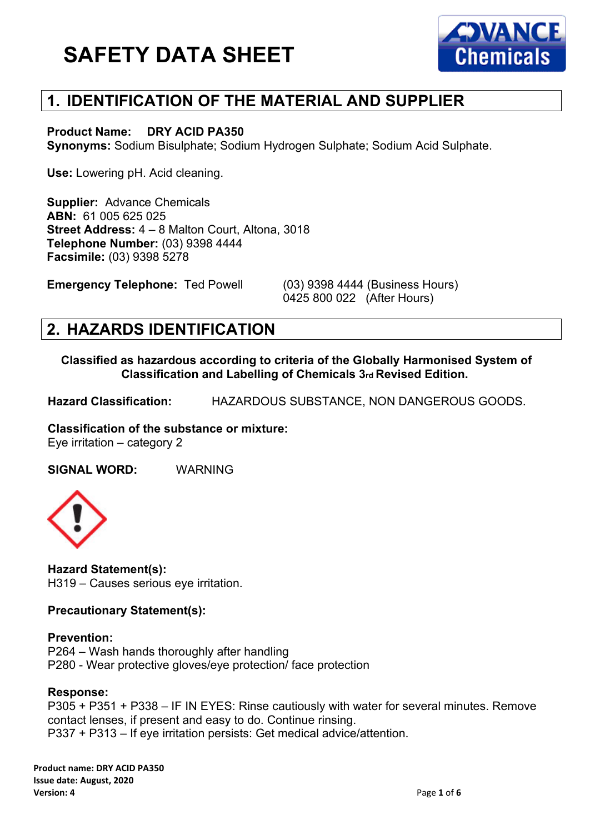

### **1. IDENTIFICATION OF THE MATERIAL AND SUPPLIER**

#### **Product Name: DRY ACID PA350**

**Synonyms:** Sodium Bisulphate; Sodium Hydrogen Sulphate; Sodium Acid Sulphate.

**Use:** Lowering pH. Acid cleaning.

**Supplier:** Advance Chemicals **ABN:** 61 005 625 025 **Street Address:** 4 – 8 Malton Court, Altona, 3018 **Telephone Number:** (03) 9398 4444 **Facsimile:** (03) 9398 5278

**Emergency Telephone:** Ted Powell (03) 9398 4444 (Business Hours)

0425 800 022 (After Hours)

#### **2. HAZARDS IDENTIFICATION**

**Classified as hazardous according to criteria of the Globally Harmonised System of Classification and Labelling of Chemicals 3rd Revised Edition.**

**Hazard Classification:** HAZARDOUS SUBSTANCE, NON DANGEROUS GOODS.

**Classification of the substance or mixture:** Eye irritation – category 2

**SIGNAL WORD:** WARNING



**Hazard Statement(s):** H319 – Causes serious eye irritation.

**Precautionary Statement(s):**

#### **Prevention:**

P264 – Wash hands thoroughly after handling P280 - Wear protective gloves/eye protection/ face protection

#### **Response:**

P305 + P351 + P338 – IF IN EYES: Rinse cautiously with water for several minutes. Remove contact lenses, if present and easy to do. Continue rinsing. P337 + P313 – If eye irritation persists: Get medical advice/attention.

**Product name: DRY ACID PA350 Issue date: August, 2020 Version: 4** Page **1** of **6**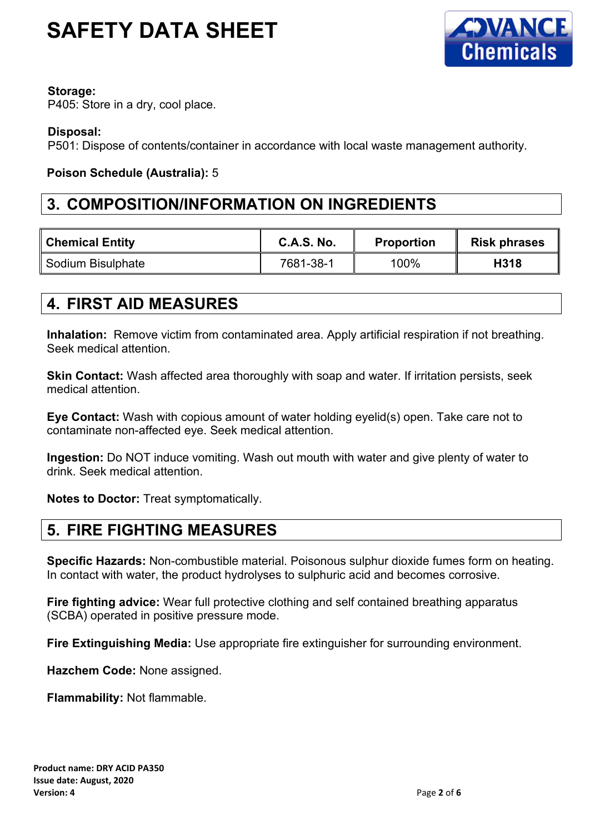

#### **Storage:**

P405: Store in a dry, cool place.

#### **Disposal:**

P501: Dispose of contents/container in accordance with local waste management authority.

#### **Poison Schedule (Australia):** 5

#### **3. COMPOSITION/INFORMATION ON INGREDIENTS**

| <b>Chemical Entity</b> | <b>C.A.S. No.</b> | Proportion | <b>Risk phrases</b> |
|------------------------|-------------------|------------|---------------------|
| Sodium Bisulphate      | 7681-38-1         | 100%       | H318                |

### **4. FIRST AID MEASURES**

**Inhalation:** Remove victim from contaminated area. Apply artificial respiration if not breathing. Seek medical attention.

**Skin Contact:** Wash affected area thoroughly with soap and water. If irritation persists, seek medical attention.

**Eye Contact:** Wash with copious amount of water holding eyelid(s) open. Take care not to contaminate non-affected eye. Seek medical attention.

**Ingestion:** Do NOT induce vomiting. Wash out mouth with water and give plenty of water to drink. Seek medical attention.

**Notes to Doctor:** Treat symptomatically.

### **5. FIRE FIGHTING MEASURES**

**Specific Hazards:** Non-combustible material. Poisonous sulphur dioxide fumes form on heating. In contact with water, the product hydrolyses to sulphuric acid and becomes corrosive.

**Fire fighting advice:** Wear full protective clothing and self contained breathing apparatus (SCBA) operated in positive pressure mode.

**Fire Extinguishing Media:** Use appropriate fire extinguisher for surrounding environment.

**Hazchem Code:** None assigned.

**Flammability:** Not flammable.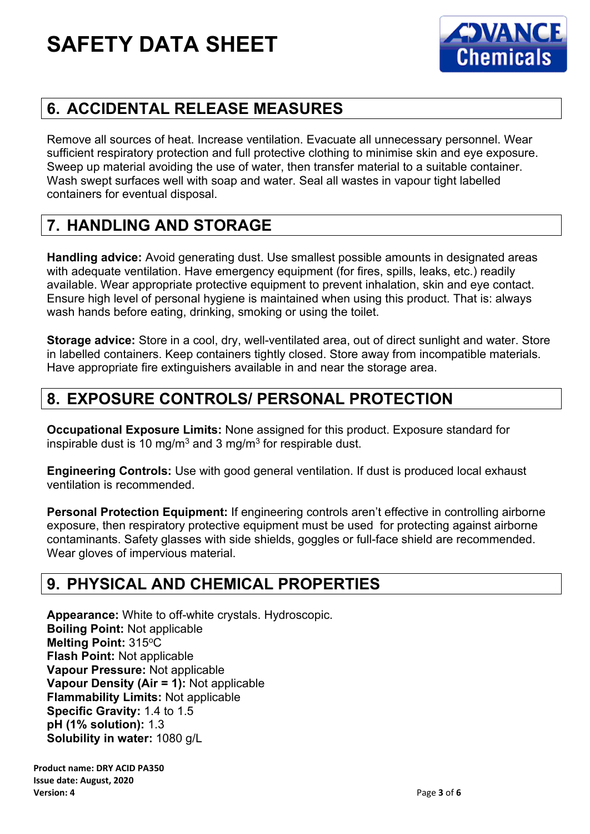

## **6. ACCIDENTAL RELEASE MEASURES**

Remove all sources of heat. Increase ventilation. Evacuate all unnecessary personnel. Wear sufficient respiratory protection and full protective clothing to minimise skin and eye exposure. Sweep up material avoiding the use of water, then transfer material to a suitable container. Wash swept surfaces well with soap and water. Seal all wastes in vapour tight labelled containers for eventual disposal.

## **7. HANDLING AND STORAGE**

**Handling advice:** Avoid generating dust. Use smallest possible amounts in designated areas with adequate ventilation. Have emergency equipment (for fires, spills, leaks, etc.) readily available. Wear appropriate protective equipment to prevent inhalation, skin and eye contact. Ensure high level of personal hygiene is maintained when using this product. That is: always wash hands before eating, drinking, smoking or using the toilet.

**Storage advice:** Store in a cool, dry, well-ventilated area, out of direct sunlight and water. Store in labelled containers. Keep containers tightly closed. Store away from incompatible materials. Have appropriate fire extinguishers available in and near the storage area.

## **8. EXPOSURE CONTROLS/ PERSONAL PROTECTION**

**Occupational Exposure Limits:** None assigned for this product. Exposure standard for inspirable dust is 10 mg/m<sup>3</sup> and 3 mg/m<sup>3</sup> for respirable dust.

**Engineering Controls:** Use with good general ventilation. If dust is produced local exhaust ventilation is recommended.

**Personal Protection Equipment:** If engineering controls aren't effective in controlling airborne exposure, then respiratory protective equipment must be used for protecting against airborne contaminants. Safety glasses with side shields, goggles or full-face shield are recommended. Wear gloves of impervious material.

### **9. PHYSICAL AND CHEMICAL PROPERTIES**

**Appearance:** White to off-white crystals. Hydroscopic. **Boiling Point:** Not applicable **Melting Point: 315°C Flash Point:** Not applicable **Vapour Pressure:** Not applicable **Vapour Density (Air = 1):** Not applicable **Flammability Limits:** Not applicable **Specific Gravity:** 1.4 to 1.5 **pH (1% solution):** 1.3 **Solubility in water:** 1080 g/L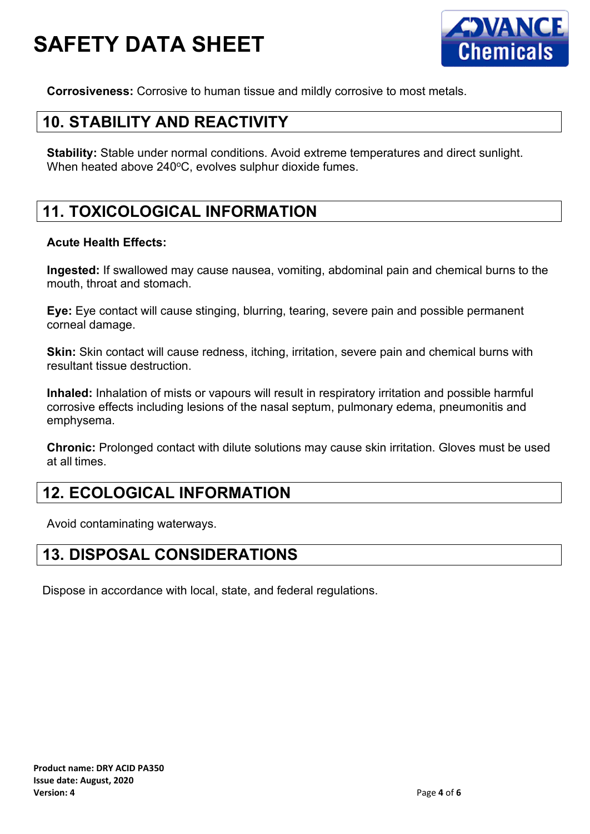

**Corrosiveness:** Corrosive to human tissue and mildly corrosive to most metals.

### **10. STABILITY AND REACTIVITY**

**Stability:** Stable under normal conditions. Avoid extreme temperatures and direct sunlight. When heated above  $240^{\circ}$ C, evolves sulphur dioxide fumes.

## **11. TOXICOLOGICAL INFORMATION**

#### **Acute Health Effects:**

**Ingested:** If swallowed may cause nausea, vomiting, abdominal pain and chemical burns to the mouth, throat and stomach.

**Eye:** Eye contact will cause stinging, blurring, tearing, severe pain and possible permanent corneal damage.

**Skin:** Skin contact will cause redness, itching, irritation, severe pain and chemical burns with resultant tissue destruction.

**Inhaled:** Inhalation of mists or vapours will result in respiratory irritation and possible harmful corrosive effects including lesions of the nasal septum, pulmonary edema, pneumonitis and emphysema.

**Chronic:** Prolonged contact with dilute solutions may cause skin irritation. Gloves must be used at all times.

#### **12. ECOLOGICAL INFORMATION**

Avoid contaminating waterways.

### **13. DISPOSAL CONSIDERATIONS**

Dispose in accordance with local, state, and federal regulations.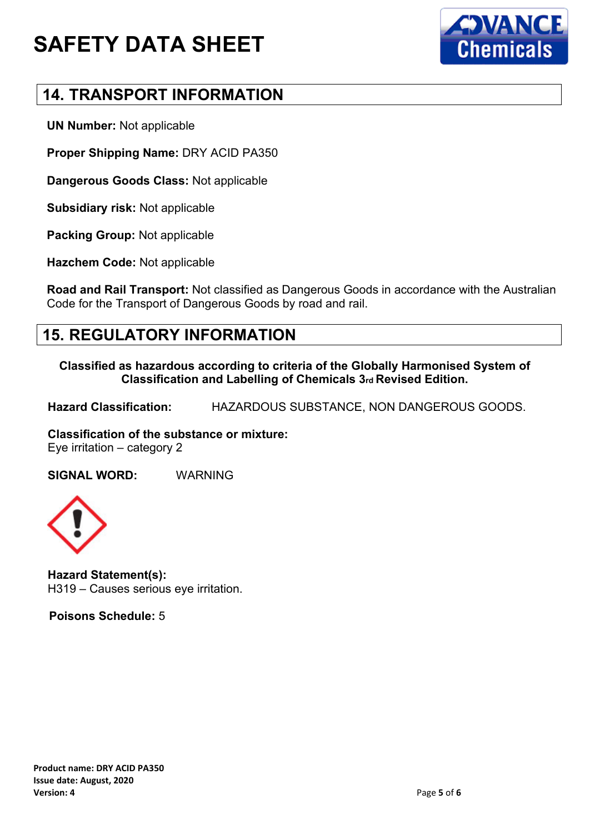



#### **14. TRANSPORT INFORMATION**

**UN Number:** Not applicable

**Proper Shipping Name:** DRY ACID PA350

**Dangerous Goods Class:** Not applicable

**Subsidiary risk:** Not applicable

**Packing Group:** Not applicable

**Hazchem Code:** Not applicable

**Road and Rail Transport:** Not classified as Dangerous Goods in accordance with the Australian Code for the Transport of Dangerous Goods by road and rail.

#### **15. REGULATORY INFORMATION**

**Classified as hazardous according to criteria of the Globally Harmonised System of Classification and Labelling of Chemicals 3rd Revised Edition.**

**Hazard Classification:** HAZARDOUS SUBSTANCE, NON DANGEROUS GOODS.

**Classification of the substance or mixture:**

Eye irritation – category 2

**SIGNAL WORD:** WARNING



**Hazard Statement(s):** H319 – Causes serious eye irritation.

 **Poisons Schedule:** 5